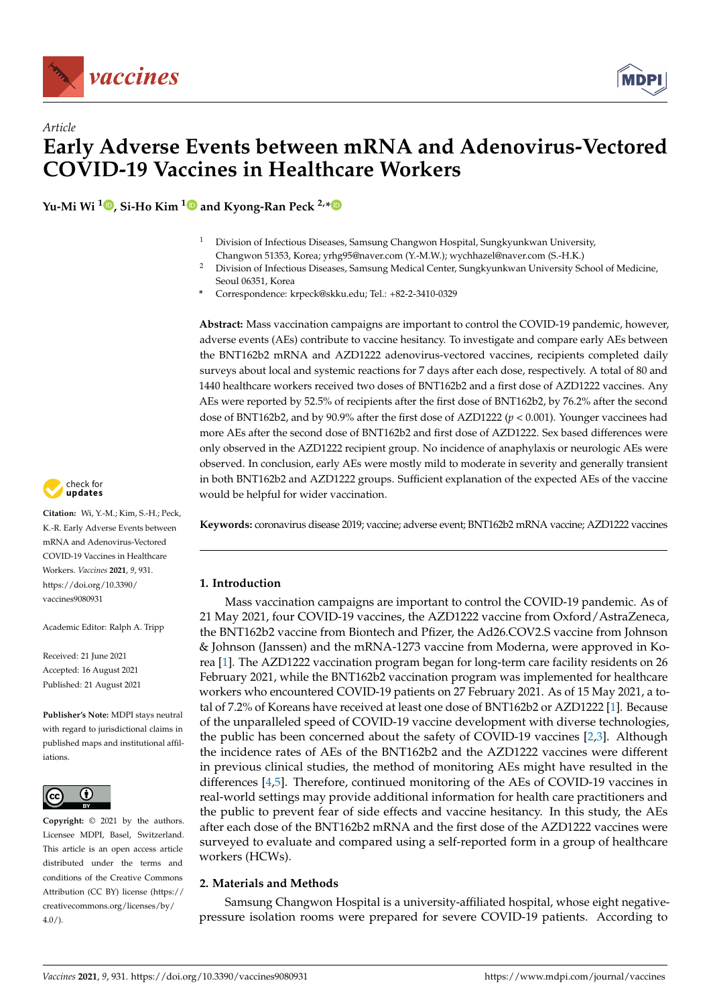

# *Article* **Early Adverse Events between mRNA and Adenovirus-Vectored COVID-19 Vaccines in Healthcare Workers**

**Yu-Mi Wi <sup>1</sup> [,](https://orcid.org/0000-0003-3625-3328) Si-Ho Kim [1](https://orcid.org/0000-0001-7763-8940) and Kyong-Ran Peck 2,[\\*](https://orcid.org/0000-0002-7464-9780)**

- <sup>1</sup> Division of Infectious Diseases, Samsung Changwon Hospital, Sungkyunkwan University, Changwon 51353, Korea; yrhg95@naver.com (Y.-M.W.); wychhazel@naver.com (S.-H.K.)
- <sup>2</sup> Division of Infectious Diseases, Samsung Medical Center, Sungkyunkwan University School of Medicine, Seoul 06351, Korea
- **\*** Correspondence: krpeck@skku.edu; Tel.: +82-2-3410-0329

**Abstract:** Mass vaccination campaigns are important to control the COVID-19 pandemic, however, adverse events (AEs) contribute to vaccine hesitancy. To investigate and compare early AEs between the BNT162b2 mRNA and AZD1222 adenovirus-vectored vaccines, recipients completed daily surveys about local and systemic reactions for 7 days after each dose, respectively. A total of 80 and 1440 healthcare workers received two doses of BNT162b2 and a first dose of AZD1222 vaccines. Any AEs were reported by 52.5% of recipients after the first dose of BNT162b2, by 76.2% after the second dose of BNT162b2, and by 90.9% after the first dose of AZD1222 (*p* < 0.001). Younger vaccinees had more AEs after the second dose of BNT162b2 and first dose of AZD1222. Sex based differences were only observed in the AZD1222 recipient group. No incidence of anaphylaxis or neurologic AEs were observed. In conclusion, early AEs were mostly mild to moderate in severity and generally transient in both BNT162b2 and AZD1222 groups. Sufficient explanation of the expected AEs of the vaccine would be helpful for wider vaccination.

**Keywords:** coronavirus disease 2019; vaccine; adverse event; BNT162b2 mRNA vaccine; AZD1222 vaccines

# **1. Introduction**

Mass vaccination campaigns are important to control the COVID-19 pandemic. As of 21 May 2021, four COVID-19 vaccines, the AZD1222 vaccine from Oxford/AstraZeneca, the BNT162b2 vaccine from Biontech and Pfizer, the Ad26.COV2.S vaccine from Johnson & Johnson (Janssen) and the mRNA-1273 vaccine from Moderna, were approved in Korea [\[1\]](#page-6-0). The AZD1222 vaccination program began for long-term care facility residents on 26 February 2021, while the BNT162b2 vaccination program was implemented for healthcare workers who encountered COVID-19 patients on 27 February 2021. As of 15 May 2021, a total of 7.2% of Koreans have received at least one dose of BNT162b2 or AZD1222 [\[1\]](#page-6-0). Because of the unparalleled speed of COVID-19 vaccine development with diverse technologies, the public has been concerned about the safety of COVID-19 vaccines [\[2,](#page-6-1)[3\]](#page-6-2). Although the incidence rates of AEs of the BNT162b2 and the AZD1222 vaccines were different in previous clinical studies, the method of monitoring AEs might have resulted in the differences [\[4,](#page-6-3)[5\]](#page-6-4). Therefore, continued monitoring of the AEs of COVID-19 vaccines in real-world settings may provide additional information for health care practitioners and the public to prevent fear of side effects and vaccine hesitancy. In this study, the AEs after each dose of the BNT162b2 mRNA and the first dose of the AZD1222 vaccines were surveyed to evaluate and compared using a self-reported form in a group of healthcare workers (HCWs).

# **2. Materials and Methods**

Samsung Changwon Hospital is a university-affiliated hospital, whose eight negativepressure isolation rooms were prepared for severe COVID-19 patients. According to



**Citation:** Wi, Y.-M.; Kim, S.-H.; Peck, K.-R. Early Adverse Events between mRNA and Adenovirus-Vectored COVID-19 Vaccines in Healthcare Workers. *Vaccines* **2021**, *9*, 931. [https://doi.org/10.3390/](https://doi.org/10.3390/vaccines9080931) [vaccines9080931](https://doi.org/10.3390/vaccines9080931)

Academic Editor: Ralph A. Tripp

Received: 21 June 2021 Accepted: 16 August 2021 Published: 21 August 2021

**Publisher's Note:** MDPI stays neutral with regard to jurisdictional claims in published maps and institutional affiliations.



**Copyright:** © 2021 by the authors. Licensee MDPI, Basel, Switzerland. This article is an open access article distributed under the terms and conditions of the Creative Commons Attribution (CC BY) license (https:/[/](https://creativecommons.org/licenses/by/4.0/) [creativecommons.org/licenses/by/](https://creativecommons.org/licenses/by/4.0/)  $4.0/$ ).

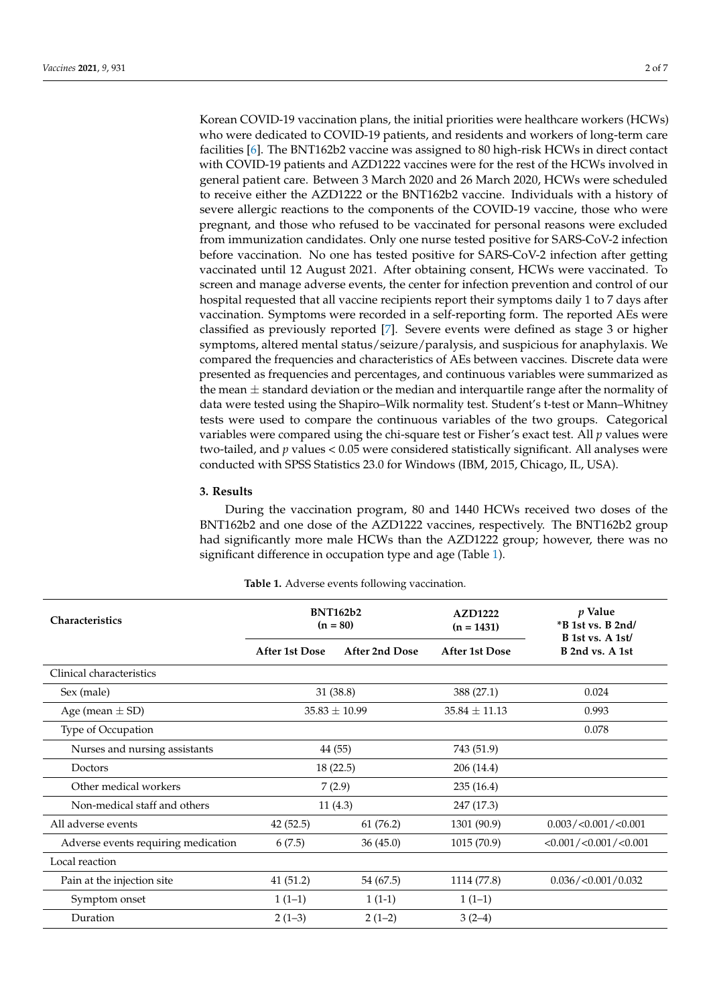Korean COVID-19 vaccination plans, the initial priorities were healthcare workers (HCWs) who were dedicated to COVID-19 patients, and residents and workers of long-term care facilities [\[6\]](#page-6-5). The BNT162b2 vaccine was assigned to 80 high-risk HCWs in direct contact with COVID-19 patients and AZD1222 vaccines were for the rest of the HCWs involved in general patient care. Between 3 March 2020 and 26 March 2020, HCWs were scheduled to receive either the AZD1222 or the BNT162b2 vaccine. Individuals with a history of severe allergic reactions to the components of the COVID-19 vaccine, those who were pregnant, and those who refused to be vaccinated for personal reasons were excluded from immunization candidates. Only one nurse tested positive for SARS-CoV-2 infection before vaccination. No one has tested positive for SARS-CoV-2 infection after getting vaccinated until 12 August 2021. After obtaining consent, HCWs were vaccinated. To screen and manage adverse events, the center for infection prevention and control of our hospital requested that all vaccine recipients report their symptoms daily 1 to 7 days after vaccination. Symptoms were recorded in a self-reporting form. The reported AEs were classified as previously reported [\[7\]](#page-6-6). Severe events were defined as stage 3 or higher symptoms, altered mental status/seizure/paralysis, and suspicious for anaphylaxis. We compared the frequencies and characteristics of AEs between vaccines. Discrete data were presented as frequencies and percentages, and continuous variables were summarized as the mean  $\pm$  standard deviation or the median and interquartile range after the normality of data were tested using the Shapiro–Wilk normality test. Student's t-test or Mann–Whitney tests were used to compare the continuous variables of the two groups. Categorical variables were compared using the chi-square test or Fisher's exact test. All *p* values were two-tailed, and *p* values < 0.05 were considered statistically significant. All analyses were conducted with SPSS Statistics 23.0 for Windows (IBM, 2015, Chicago, IL, USA).

#### **3. Results**

During the vaccination program, 80 and 1440 HCWs received two doses of the BNT162b2 and one dose of the AZD1222 vaccines, respectively. The BNT162b2 group had significantly more male HCWs than the AZD1222 group; however, there was no significant difference in occupation type and age (Table [1\)](#page-2-0).

| Characteristics                     | <b>BNT162b2</b><br>$(n = 80)$ |                | <b>AZD1222</b><br>$(n = 1431)$ | p Value<br>$*B$ 1st vs. B 2nd/<br>B 1st vs. A 1st/ |
|-------------------------------------|-------------------------------|----------------|--------------------------------|----------------------------------------------------|
|                                     | After 1st Dose                | After 2nd Dose | After 1st Dose                 | B 2nd vs. A 1st                                    |
| Clinical characteristics            |                               |                |                                |                                                    |
| Sex (male)                          |                               | 31(38.8)       | 388 (27.1)                     | 0.024                                              |
| Age (mean $\pm$ SD)                 | $35.83 \pm 10.99$             |                | $35.84 \pm 11.13$              | 0.993                                              |
| Type of Occupation                  |                               |                |                                | 0.078                                              |
| Nurses and nursing assistants       |                               | 44 (55)        | 743 (51.9)                     |                                                    |
| Doctors                             | 18(22.5)                      |                | 206 (14.4)                     |                                                    |
| Other medical workers               | 7(2.9)                        |                | 235(16.4)                      |                                                    |
| Non-medical staff and others        | 11(4.3)                       |                | 247 (17.3)                     |                                                    |
| All adverse events                  | 42(52.5)                      | 61 (76.2)      | 1301 (90.9)                    | 0.003 / < 0.001 / < 0.001                          |
| Adverse events requiring medication | 6(7.5)                        | 36(45.0)       | 1015 (70.9)                    | $<$ 0.001 / $<$ 0.001 / $<$ 0.001                  |
| Local reaction                      |                               |                |                                |                                                    |
| Pain at the injection site          | 41(51.2)                      | 54 (67.5)      | 1114 (77.8)                    | 0.036 / < 0.001 / 0.032                            |
| Symptom onset                       | $1(1-1)$                      | $1(1-1)$       | $1(1-1)$                       |                                                    |
| Duration                            | $2(1-3)$                      | $2(1-2)$       | $3(2-4)$                       |                                                    |

**Table 1.** Adverse events following vaccination.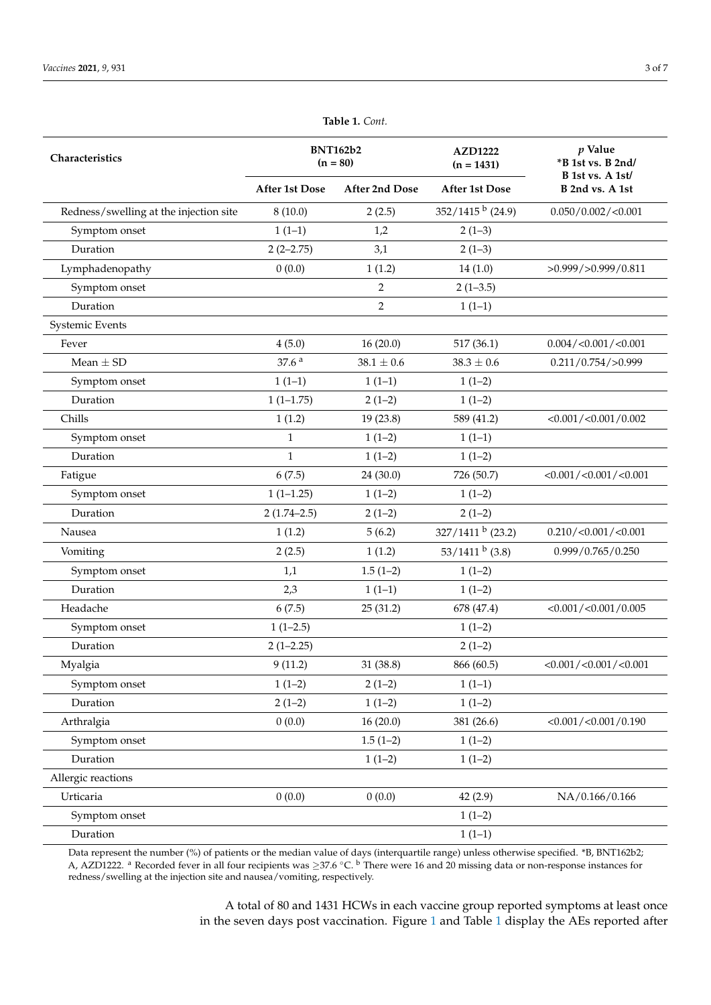<span id="page-2-0"></span>

| Characteristics                        | <b>BNT162b2</b><br>$(n = 80)$ |                       | <b>AZD1222</b><br>$(n = 1431)$ | $p$ Value<br>*B 1st vs. B 2nd/<br>B 1st vs. A 1st/ |
|----------------------------------------|-------------------------------|-----------------------|--------------------------------|----------------------------------------------------|
|                                        | <b>After 1st Dose</b>         | <b>After 2nd Dose</b> | <b>After 1st Dose</b>          | B 2nd vs. A 1st                                    |
| Redness/swelling at the injection site | 8(10.0)                       | 2(2.5)                | $352/1415^{b}$ (24.9)          | 0.050/0.002/<0.001                                 |
| Symptom onset                          | $1(1-1)$                      | 1,2                   | $2(1-3)$                       |                                                    |
| Duration                               | $2(2-2.75)$                   | 3,1                   | $2(1-3)$                       |                                                    |
| Lymphadenopathy                        | 0(0.0)                        | 1(1.2)                | 14(1.0)                        | $>0.999/$ $>0.999/0.811$                           |
| Symptom onset                          |                               | $\overline{2}$        | $2(1-3.5)$                     |                                                    |
| Duration                               |                               | $\sqrt{2}$            | $1(1-1)$                       |                                                    |
| Systemic Events                        |                               |                       |                                |                                                    |
| Fever                                  | 4(5.0)                        | 16(20.0)              | 517 (36.1)                     | $0.004 / \langle 0.001 / \langle 0.001$            |
| Mean $\pm$ SD                          | 37.6 <sup>a</sup>             | $38.1 \pm 0.6$        | $38.3\pm0.6$                   | 0.211/0.754/>0.999                                 |
| Symptom onset                          | $1(1-1)$                      | $1(1-1)$              | $1(1-2)$                       |                                                    |
| Duration                               | $1(1-1.75)$                   | $2(1-2)$              | $1(1-2)$                       |                                                    |
| Chills                                 | 1(1.2)                        | 19 (23.8)             | 589 (41.2)                     | $<$ 0.001/ $<$ 0.001/0.002                         |
| Symptom onset                          | $\mathbf{1}$                  | $1(1-2)$              | $1(1-1)$                       |                                                    |
| Duration                               | $\mathbf{1}$                  | $1(1-2)$              | $1(1-2)$                       |                                                    |
| Fatigue                                | 6(7.5)                        | 24 (30.0)             | 726 (50.7)                     | $<$ 0.001/ $<$ 0.001/ $<$ 0.001                    |
| Symptom onset                          | $1(1-1.25)$                   | $1(1-2)$              | $1(1-2)$                       |                                                    |
| Duration                               | $2(1.74-2.5)$                 | $2(1-2)$              | $2(1-2)$                       |                                                    |
| Nausea                                 | 1(1.2)                        | 5(6.2)                | $327/1411$ b (23.2)            | 0.210 / < 0.001 / < 0.001                          |
| Vomiting                               | 2(2.5)                        | 1(1.2)                | $53/1411^{b}$ (3.8)            | 0.999/0.765/0.250                                  |
| Symptom onset                          | 1,1                           | $1.5(1-2)$            | $1(1-2)$                       |                                                    |
| Duration                               | 2,3                           | $1(1-1)$              | $1(1-2)$                       |                                                    |
| Headache                               | 6(7.5)                        | 25(31.2)              | 678 (47.4)                     | <0.001 / <0.001 / 0.005                            |
| Symptom onset                          | $1(1-2.5)$                    |                       | $1(1-2)$                       |                                                    |
| Duration                               | $2(1-2.25)$                   |                       | $2(1-2)$                       |                                                    |
| Myalgia                                | 9(11.2)                       | 31 (38.8)             | 866 (60.5)                     | $<$ 0.001/ $<$ 0.001/ $<$ 0.001                    |
| Symptom onset                          | $1(1-2)$                      | $2(1-2)$              | $1(1-1)$                       |                                                    |
| Duration                               | $2(1-2)$                      | $1(1-2)$              | $1(1-2)$                       |                                                    |
| Arthralgia                             | 0(0.0)                        | 16(20.0)              | 381 (26.6)                     | $<0.001/\leq 0.001/0.190$                          |
| Symptom onset                          |                               | $1.5(1-2)$            | $1(1-2)$                       |                                                    |
| Duration                               |                               | $1(1-2)$              | $1(1-2)$                       |                                                    |
| Allergic reactions                     |                               |                       |                                |                                                    |
| Urticaria                              | 0(0.0)                        | 0(0.0)                | 42(2.9)                        | NA/0.166/0.166                                     |
| Symptom onset                          |                               |                       | $1(1-2)$                       |                                                    |
| Duration                               |                               |                       | $1(1-1)$                       |                                                    |

**Table 1.** *Cont.*

Data represent the number (%) of patients or the median value of days (interquartile range) unless otherwise specified. \*B, BNT162b2; A, AZD1222. <sup>a</sup> Recorded fever in all four recipients was  $\geq$ 37.6 °C. <sup>b</sup> There were 16 and 20 missing data or non-response instances for redness/swelling at the injection site and nausea/vomiting, respectively.

> A total of 80 and 1431 HCWs in each vaccine group reported symptoms at least once in the seven days post vaccination. Figure [1](#page-3-0) and Table [1](#page-2-0) display the AEs reported after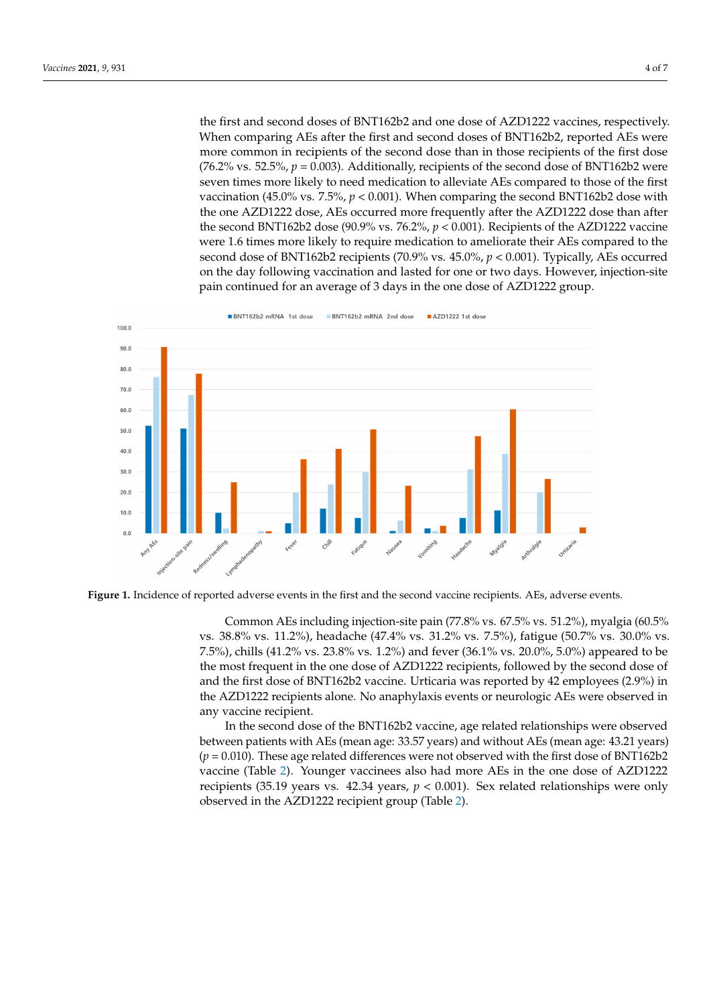the first and second doses of BNT162b2 and one dose of AZD1222 vaccines, respectively. When comparing AEs after the first and second doses of BNT162b2, reported AEs were more common in recipients of the second dose than in those recipients of the first dose (76.2% vs. 52.5%,  $p = 0.003$ ). Additionally, recipients of the second dose of BNT162b2 were seven times more likely to need medication to alleviate AEs compared to those of the first vaccination (45.0% vs.  $7.5\%$ ,  $p < 0.001$ ). When comparing the second BNT162b2 dose with the one AZD1222 dose, AEs occurred more frequently after the AZD1222 dose than after the second BNT162b2 dose (90.9% vs. 76.2%,  $p < 0.001$ ). Recipients of the AZD1222 vaccine were 1.6 times more likely to require medication to ameliorate their AEs compared to the second dose of BNT162b2 recipients (70.9% vs.  $45.0\%$ ,  $p < 0.001$ ). Typically, AEs occurred on the day following vaccination and lasted for one or two days. However, injection-site pain continued for an average of 3 days in the one dose of AZD1222 group.

<span id="page-3-0"></span>

Figure 1. Incidence of reported adverse events in the first and the second vaccine recipients. AEs, adverse events.

Common AEs including injection-site pain (77.8% vs. 67.5% vs. 51.2%), myalgia (60.5% 7.5%), chills (41.2% vs. 23.8% vs. 1.2%) and fever (36.1% vs. 20.0%, 5.0%) appeared to be the most frequent in the one dose of AZD1222 recipients, followed by the second dose of and the first dose of BNT162b2 vaccine. Urticaria was reported by 42 employees (2.9%) in the AZD1222 recipients alone. No anaphylaxis events or neurologic AEs were observed in any vaccine recipient. vs. 38.8% vs. 11.2%), headache (47.4% vs. 31.2% vs. 7.5%), fatigue (50.7% vs. 30.0% vs.

In the second dose of the BNT162b2 vaccine, age related relationships were observed between patients with AEs (mean age: 33.57 years) and without AEs (mean age: 43.21 years)  $(p = 0.010)$ . These age related differences were not observed with the first dose of BNT162b2 vaccine (Table [2\)](#page-4-0). Younger vaccinees also had more AEs in the one dose of AZD1222 recipients (35.19 years vs. 42.34 years,  $p < 0.001$ ). Sex related relationships were only observed in the AZD1222 recipient group (Table [2\)](#page-4-0).  $\mathcal{L}$  1st 130 (90.9) 130 (90.9) 130 (90.9) 130 (90.9) 130 (90.9) 130 (90.9) 130 (90.9) 130 (90.9) 130 (90.9) 130 (90.9) 130 (90.9) 130 (90.9) 130 (90.9) 130 (90.9) 130 (90.9) 130 (90.9) 130 (90.9) 130 (90.9) 130 (90.9)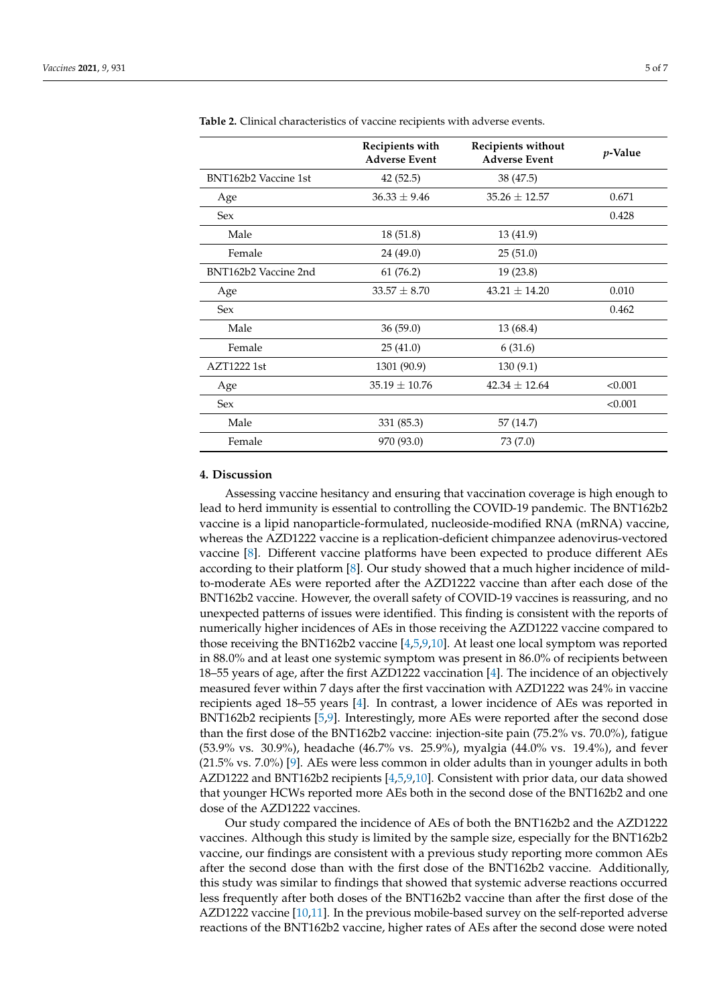|                      | Recipients with<br><b>Adverse Event</b> | Recipients without<br><b>Adverse Event</b> | $p$ -Value |
|----------------------|-----------------------------------------|--------------------------------------------|------------|
| BNT162b2 Vaccine 1st | 42(52.5)                                | 38 (47.5)                                  |            |
| Age                  | $36.33 \pm 9.46$                        | $35.26 \pm 12.57$                          | 0.671      |
| <b>Sex</b>           |                                         |                                            | 0.428      |
| Male                 | 18(51.8)                                | 13 (41.9)                                  |            |
| Female               | 24 (49.0)                               | 25(51.0)                                   |            |
| BNT162b2 Vaccine 2nd | 61 (76.2)                               | 19(23.8)                                   |            |
| Age                  | $33.57 \pm 8.70$                        | $43.21 \pm 14.20$                          | 0.010      |
| <b>Sex</b>           |                                         |                                            | 0.462      |
| Male                 | 36(59.0)                                | 13 (68.4)                                  |            |
| Female               | 25(41.0)                                | 6(31.6)                                    |            |
| AZT1222 1st          | 1301 (90.9)                             | 130 (9.1)                                  |            |
| Age                  | $35.19 \pm 10.76$                       | $42.34 \pm 12.64$                          | < 0.001    |
| Sex                  |                                         |                                            | < 0.001    |
| Male                 | 331 (85.3)                              | 57 (14.7)                                  |            |
| Female               | 970 (93.0)                              | 73 (7.0)                                   |            |

<span id="page-4-0"></span>**Table 2.** Clinical characteristics of vaccine recipients with adverse events.

### **4. Discussion**

Assessing vaccine hesitancy and ensuring that vaccination coverage is high enough to lead to herd immunity is essential to controlling the COVID-19 pandemic. The BNT162b2 vaccine is a lipid nanoparticle-formulated, nucleoside-modified RNA (mRNA) vaccine, whereas the AZD1222 vaccine is a replication-deficient chimpanzee adenovirus-vectored vaccine [\[8\]](#page-6-7). Different vaccine platforms have been expected to produce different AEs according to their platform [\[8\]](#page-6-7). Our study showed that a much higher incidence of mildto-moderate AEs were reported after the AZD1222 vaccine than after each dose of the BNT162b2 vaccine. However, the overall safety of COVID-19 vaccines is reassuring, and no unexpected patterns of issues were identified. This finding is consistent with the reports of numerically higher incidences of AEs in those receiving the AZD1222 vaccine compared to those receiving the BNT162b2 vaccine [\[4](#page-6-3)[,5,](#page-6-4)[9,](#page-6-8)[10\]](#page-6-9). At least one local symptom was reported in 88.0% and at least one systemic symptom was present in 86.0% of recipients between 18–55 years of age, after the first AZD1222 vaccination [\[4\]](#page-6-3). The incidence of an objectively measured fever within 7 days after the first vaccination with AZD1222 was 24% in vaccine recipients aged 18–55 years [\[4\]](#page-6-3). In contrast, a lower incidence of AEs was reported in BNT162b2 recipients [\[5,](#page-6-4)[9\]](#page-6-8). Interestingly, more AEs were reported after the second dose than the first dose of the BNT162b2 vaccine: injection-site pain (75.2% vs. 70.0%), fatigue (53.9% vs. 30.9%), headache (46.7% vs. 25.9%), myalgia (44.0% vs. 19.4%), and fever (21.5% vs. 7.0%) [\[9\]](#page-6-8). AEs were less common in older adults than in younger adults in both AZD1222 and BNT162b2 recipients [\[4,](#page-6-3)[5](#page-6-4)[,9](#page-6-8)[,10\]](#page-6-9). Consistent with prior data, our data showed that younger HCWs reported more AEs both in the second dose of the BNT162b2 and one dose of the AZD1222 vaccines.

Our study compared the incidence of AEs of both the BNT162b2 and the AZD1222 vaccines. Although this study is limited by the sample size, especially for the BNT162b2 vaccine, our findings are consistent with a previous study reporting more common AEs after the second dose than with the first dose of the BNT162b2 vaccine. Additionally, this study was similar to findings that showed that systemic adverse reactions occurred less frequently after both doses of the BNT162b2 vaccine than after the first dose of the AZD1222 vaccine [\[10,](#page-6-9)[11\]](#page-6-10). In the previous mobile-based survey on the self-reported adverse reactions of the BNT162b2 vaccine, higher rates of AEs after the second dose were noted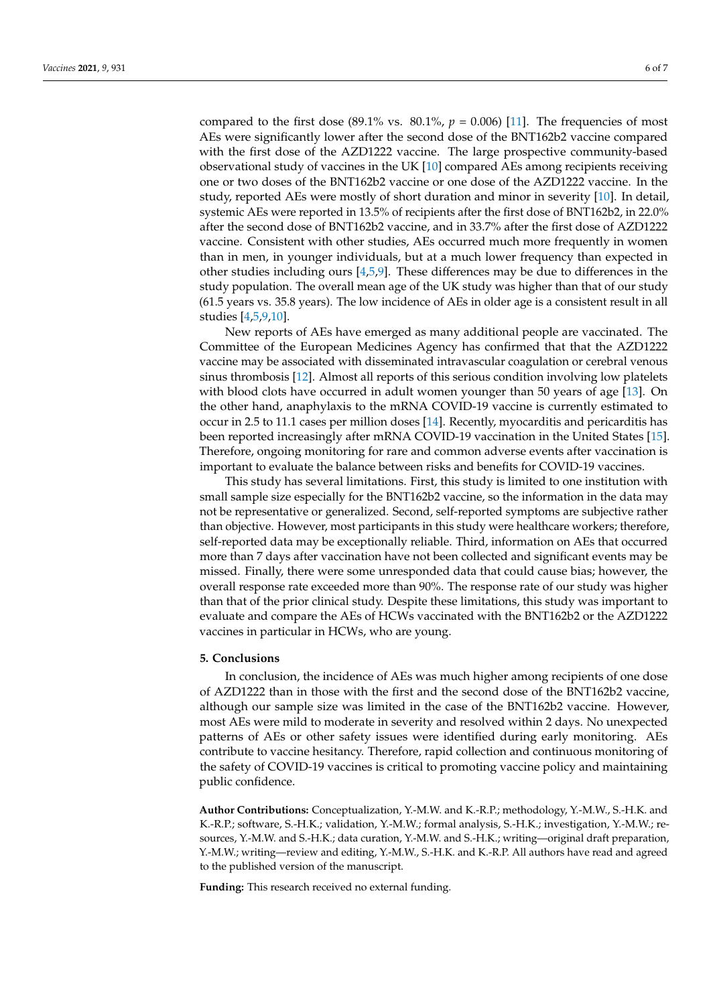compared to the first dose (89.1% vs.  $80.1\%$ ,  $p = 0.006$ ) [\[11\]](#page-6-10). The frequencies of most AEs were significantly lower after the second dose of the BNT162b2 vaccine compared with the first dose of the AZD1222 vaccine. The large prospective community-based observational study of vaccines in the UK [\[10\]](#page-6-9) compared AEs among recipients receiving one or two doses of the BNT162b2 vaccine or one dose of the AZD1222 vaccine. In the study, reported AEs were mostly of short duration and minor in severity [\[10\]](#page-6-9). In detail, systemic AEs were reported in 13.5% of recipients after the first dose of BNT162b2, in 22.0% after the second dose of BNT162b2 vaccine, and in 33.7% after the first dose of AZD1222 vaccine. Consistent with other studies, AEs occurred much more frequently in women than in men, in younger individuals, but at a much lower frequency than expected in other studies including ours [\[4,](#page-6-3)[5,](#page-6-4)[9\]](#page-6-8). These differences may be due to differences in the study population. The overall mean age of the UK study was higher than that of our study (61.5 years vs. 35.8 years). The low incidence of AEs in older age is a consistent result in all studies [\[4,](#page-6-3)[5](#page-6-4)[,9](#page-6-8)[,10\]](#page-6-9).

New reports of AEs have emerged as many additional people are vaccinated. The Committee of the European Medicines Agency has confirmed that that the AZD1222 vaccine may be associated with disseminated intravascular coagulation or cerebral venous sinus thrombosis [\[12\]](#page-6-11). Almost all reports of this serious condition involving low platelets with blood clots have occurred in adult women younger than 50 years of age [\[13\]](#page-6-12). On the other hand, anaphylaxis to the mRNA COVID-19 vaccine is currently estimated to occur in 2.5 to 11.1 cases per million doses [\[14\]](#page-6-13). Recently, myocarditis and pericarditis has been reported increasingly after mRNA COVID-19 vaccination in the United States [\[15\]](#page-6-14). Therefore, ongoing monitoring for rare and common adverse events after vaccination is important to evaluate the balance between risks and benefits for COVID-19 vaccines.

This study has several limitations. First, this study is limited to one institution with small sample size especially for the BNT162b2 vaccine, so the information in the data may not be representative or generalized. Second, self-reported symptoms are subjective rather than objective. However, most participants in this study were healthcare workers; therefore, self-reported data may be exceptionally reliable. Third, information on AEs that occurred more than 7 days after vaccination have not been collected and significant events may be missed. Finally, there were some unresponded data that could cause bias; however, the overall response rate exceeded more than 90%. The response rate of our study was higher than that of the prior clinical study. Despite these limitations, this study was important to evaluate and compare the AEs of HCWs vaccinated with the BNT162b2 or the AZD1222 vaccines in particular in HCWs, who are young.

#### **5. Conclusions**

In conclusion, the incidence of AEs was much higher among recipients of one dose of AZD1222 than in those with the first and the second dose of the BNT162b2 vaccine, although our sample size was limited in the case of the BNT162b2 vaccine. However, most AEs were mild to moderate in severity and resolved within 2 days. No unexpected patterns of AEs or other safety issues were identified during early monitoring. AEs contribute to vaccine hesitancy. Therefore, rapid collection and continuous monitoring of the safety of COVID-19 vaccines is critical to promoting vaccine policy and maintaining public confidence.

**Author Contributions:** Conceptualization, Y.-M.W. and K.-R.P.; methodology, Y.-M.W., S.-H.K. and K.-R.P.; software, S.-H.K.; validation, Y.-M.W.; formal analysis, S.-H.K.; investigation, Y.-M.W.; resources, Y.-M.W. and S.-H.K.; data curation, Y.-M.W. and S.-H.K.; writing—original draft preparation, Y.-M.W.; writing—review and editing, Y.-M.W., S.-H.K. and K.-R.P. All authors have read and agreed to the published version of the manuscript.

**Funding:** This research received no external funding.